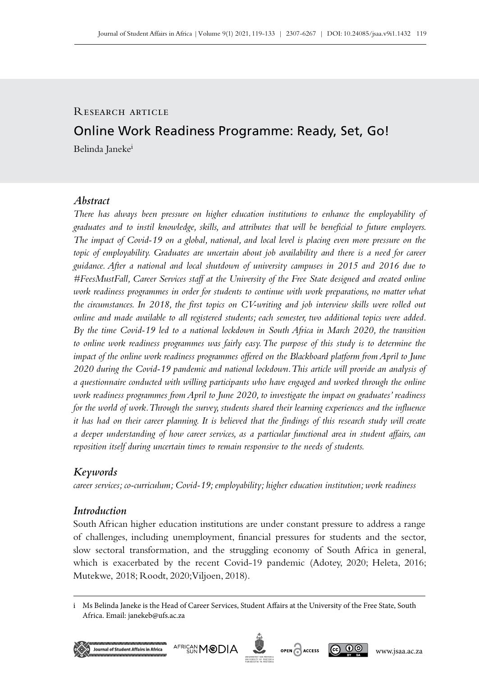# R ESEARCH ARTICLE

# Online Work Readiness Programme: Ready, Set, Go!

Belinda Janeke<sup>i</sup>

## *Abstract*

*There has always been pressure on higher education institutions to enhance the employability of graduates and to instil knowledge, skills, and attributes that will be beneficial to future employers. The impact of Covid‑19 on a global, national, and local level is placing even more pressure on the topic of employability. Graduates are uncertain about job availability and there is a need for career guidance. After a national and local shutdown of university campuses in 2015 and 2016 due to #FeesMustFall, Career Services staff at the University of the Free State designed and created online work readiness programmes in order for students to continue with work preparations, no matter what the circumstances. In 2018, the first topics on CV‑writing and job interview skills were rolled out online and made available to all registered students; each semester, two additional topics were added. By the time Covid‑19 led to a national lockdown in South Africa in March 2020, the transition to online work readiness programmes was fairly easy. The purpose of this study is to determine the impact of the online work readiness programmes offered on the Blackboard platform from April to June 2020 during the Covid‑19 pandemic and national lockdown. This article will provide an analysis of a questionnaire conducted with willing participants who have engaged and worked through the online work readiness programmes from April to June 2020, to investigate the impact on graduates' readiness for the world of work. Through the survey, students shared their learning experiences and the influence it has had on their career planning. It is believed that the findings of this research study will create a deeper understanding of how career services, as a particular functional area in student affairs, can reposition itself during uncertain times to remain responsive to the needs of students.*

# *Keywords*

*career services; co‑curriculum; Covid‑19; employability; higher education institution; work readiness*

### *Introduction*

South African higher education institutions are under constant pressure to address a range of challenges, including unemployment, financial pressures for students and the sector, slow sectoral transformation, and the struggling economy of South Africa in general, which is exacerbated by the recent Covid-19 pandemic (Adotey, 2020; Heleta, 2016; Mutekwe, 2018; Roodt, 2020; Viljoen, 2018).

i Ms Belinda Janeke is the Head of Career Services, Student Affairs at the University of the Free State, South Africa. Email: [janekeb@ufs.ac.za](mailto:janekeb%40ufs.ac.za?subject=)







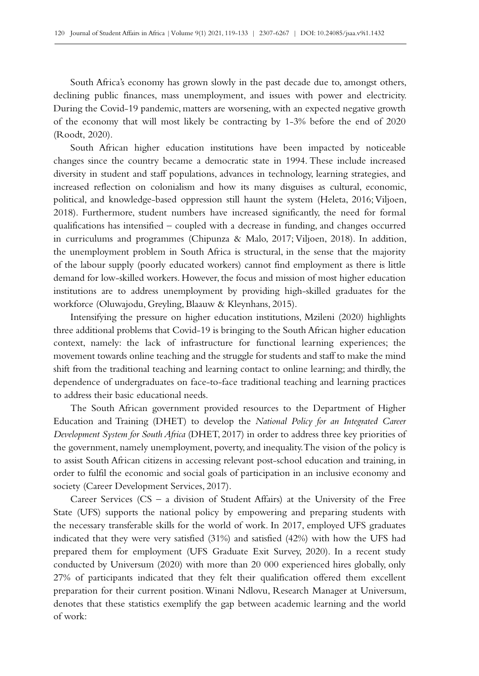South Africa's economy has grown slowly in the past decade due to, amongst others, declining public finances, mass unemployment, and issues with power and electricity. During the Covid–19 pandemic, matters are worsening, with an expected negative growth of the economy that will most likely be contracting by 1-3% before the end of 2020 (Roodt, 2020).

South African higher education institutions have been impacted by noticeable changes since the country became a democratic state in 1994. These include increased diversity in student and staff populations, advances in technology, learning strategies, and increased reflection on colonialism and how its many disguises as cultural, economic, political, and knowledge-based oppression still haunt the system (Heleta, 2016; Viljoen, 2018). Furthermore, student numbers have increased significantly, the need for formal qualifications has intensified – coupled with a decrease in funding, and changes occurred in curriculums and programmes (Chipunza & Malo, 2017; Viljoen, 2018). In addition, the unemployment problem in South Africa is structural, in the sense that the majority of the labour supply (poorly educated workers) cannot find employment as there is little demand for low-skilled workers. However, the focus and mission of most higher education institutions are to address unemployment by providing high-skilled graduates for the workforce (Oluwajodu, Greyling, Blaauw & Kleynhans, 2015).

Intensifying the pressure on higher education institutions, Mzileni (2020) highlights three additional problems that Covid‑19 is bringing to the South African higher education context, namely: the lack of infrastructure for functional learning experiences; the movement towards online teaching and the struggle for students and staff to make the mind shift from the traditional teaching and learning contact to online learning; and thirdly, the dependence of undergraduates on face-to-face traditional teaching and learning practices to address their basic educational needs.

The South African government provided resources to the Department of Higher Education and Training (DHET) to develop the *National Policy for an Integrated Career Development System for South Africa* (DHET, 2017) in order to address three key priorities of the government, namely unemployment, poverty, and inequality. The vision of the policy is to assist South African citizens in accessing relevant post-school education and training, in order to fulfil the economic and social goals of participation in an inclusive economy and society (Career Development Services, 2017).

Career Services ( $CS - a$  division of Student Affairs) at the University of the Free State (UFS) supports the national policy by empowering and preparing students with the necessary transferable skills for the world of work. In 2017, employed UFS graduates indicated that they were very satisfied (31%) and satisfied (42%) with how the UFS had prepared them for employment (UFS Graduate Exit Survey, 2020). In a recent study conducted by Universum (2020) with more than 20 000 experienced hires globally, only 27% of participants indicated that they felt their qualification offered them excellent preparation for their current position. Winani Ndlovu, Research Manager at Universum, denotes that these statistics exemplify the gap between academic learning and the world of work: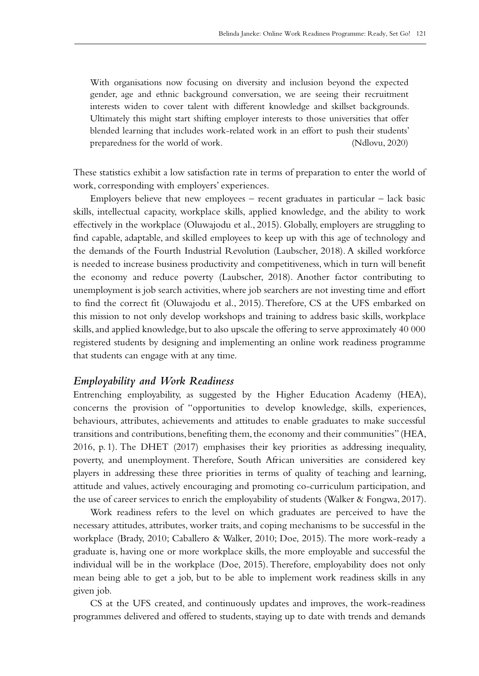With organisations now focusing on diversity and inclusion beyond the expected gender, age and ethnic background conversation, we are seeing their recruitment interests widen to cover talent with different knowledge and skillset backgrounds. Ultimately this might start shifting employer interests to those universities that offer blended learning that includes work-related work in an effort to push their students' preparedness for the world of work. (Ndlovu, 2020)

These statistics exhibit a low satisfaction rate in terms of preparation to enter the world of work, corresponding with employers' experiences.

Employers believe that new employees – recent graduates in particular – lack basic skills, intellectual capacity, workplace skills, applied knowledge, and the ability to work effectively in the workplace (Oluwajodu et al., 2015). Globally, employers are struggling to find capable, adaptable, and skilled employees to keep up with this age of technology and the demands of the Fourth Industrial Revolution (Laubscher, 2018). A skilled workforce is needed to increase business productivity and competitiveness, which in turn will benefit the economy and reduce poverty (Laubscher, 2018). Another factor contributing to unemployment is job search activities, where job searchers are not investing time and effort to find the correct fit (Oluwajodu et al., 2015). Therefore, CS at the UFS embarked on this mission to not only develop workshops and training to address basic skills, workplace skills, and applied knowledge, but to also upscale the offering to serve approximately 40 000 registered students by designing and implementing an online work readiness programme that students can engage with at any time.

### *Employability and Work Readiness*

Entrenching employability, as suggested by the Higher Education Academy (HEA), concerns the provision of "opportunities to develop knowledge, skills, experiences, behaviours, attributes, achievements and attitudes to enable graduates to make successful transitions and contributions, benefiting them, the economy and their communities" (HEA, 2016, p. 1). The DHET (2017) emphasises their key priorities as addressing inequality, poverty, and unemployment. Therefore, South African universities are considered key players in addressing these three priorities in terms of quality of teaching and learning, attitude and values, actively encouraging and promoting co‑curriculum participation, and the use of career services to enrich the employability of students (Walker & Fongwa, 2017).

Work readiness refers to the level on which graduates are perceived to have the necessary attitudes, attributes, worker traits, and coping mechanisms to be successful in the workplace (Brady, 2010; Caballero & Walker, 2010; Doe, 2015). The more work-ready a graduate is, having one or more workplace skills, the more employable and successful the individual will be in the workplace (Doe, 2015). Therefore, employability does not only mean being able to get a job, but to be able to implement work readiness skills in any given job.

CS at the UFS created, and continuously updates and improves, the work-readiness programmes delivered and offered to students, staying up to date with trends and demands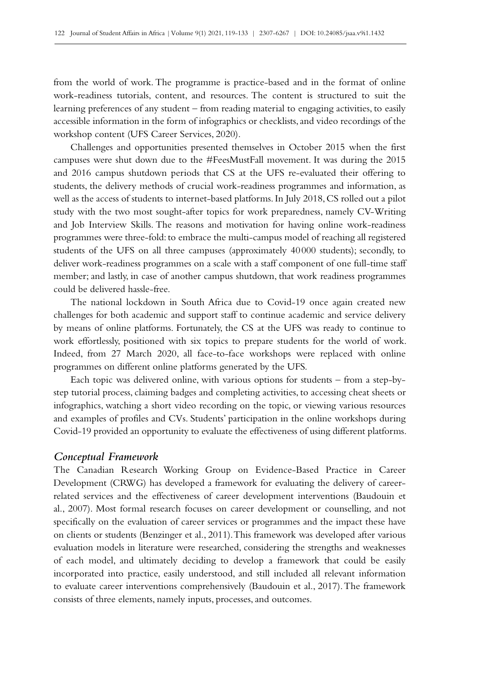from the world of work. The programme is practice-based and in the format of online work-readiness tutorials, content, and resources. The content is structured to suit the learning preferences of any student – from reading material to engaging activities, to easily accessible information in the form of infographics or checklists, and video recordings of the workshop content (UFS Career Services, 2020).

Challenges and opportunities presented themselves in October 2015 when the first campuses were shut down due to the #FeesMustFall movement. It was during the 2015 and 2016 campus shutdown periods that CS at the UFS re‑evaluated their offering to students, the delivery methods of crucial work-readiness programmes and information, as well as the access of students to internet-based platforms. In July 2018, CS rolled out a pilot study with the two most sought-after topics for work preparedness, namely CV‑Writing and Job Interview Skills. The reasons and motivation for having online work-readiness programmes were three-fold: to embrace the multi-campus model of reaching all registered students of the UFS on all three campuses (approximately 40000 students); secondly, to deliver work-readiness programmes on a scale with a staff component of one full-time staff member; and lastly, in case of another campus shutdown, that work readiness programmes could be delivered hassle-free.

The national lockdown in South Africa due to Covid-19 once again created new challenges for both academic and support staff to continue academic and service delivery by means of online platforms. Fortunately, the CS at the UFS was ready to continue to work effortlessly, positioned with six topics to prepare students for the world of work. Indeed, from 27 March 2020, all face-to-face workshops were replaced with online programmes on different online platforms generated by the UFS.

Each topic was delivered online, with various options for students – from a step-bystep tutorial process, claiming badges and completing activities, to accessing cheat sheets or infographics, watching a short video recording on the topic, or viewing various resources and examples of profiles and CVs. Students' participation in the online workshops during Covid‑19 provided an opportunity to evaluate the effectiveness of using different platforms.

#### *Conceptual Framework*

The Canadian Research Working Group on Evidence-Based Practice in Career Development (CRWG) has developed a framework for evaluating the delivery of careerrelated services and the effectiveness of career development interventions (Baudouin et al., 2007). Most formal research focuses on career development or counselling, and not specifically on the evaluation of career services or programmes and the impact these have on clients or students (Benzinger et al., 2011). This framework was developed after various evaluation models in literature were researched, considering the strengths and weaknesses of each model, and ultimately deciding to develop a framework that could be easily incorporated into practice, easily understood, and still included all relevant information to evaluate career interventions comprehensively (Baudouin et al., 2017). The framework consists of three elements, namely inputs, processes, and outcomes.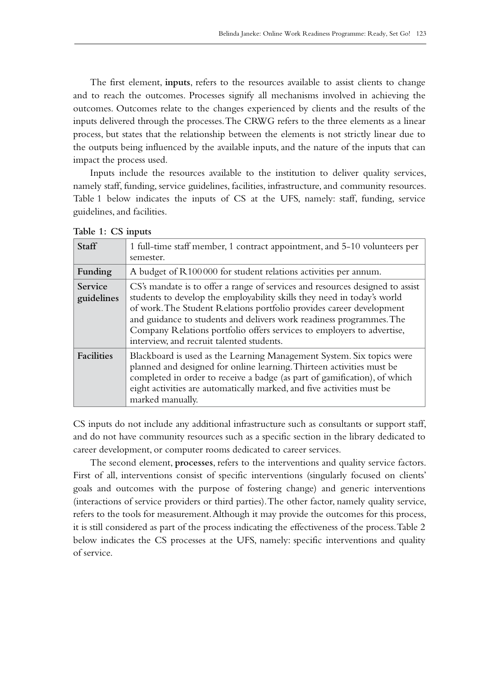The first element, **inputs**, refers to the resources available to assist clients to change and to reach the outcomes. Processes signify all mechanisms involved in achieving the outcomes. Outcomes relate to the changes experienced by clients and the results of the inputs delivered through the processes. The CRWG refers to the three elements as a linear process, but states that the relationship between the elements is not strictly linear due to the outputs being influenced by the available inputs, and the nature of the inputs that can impact the process used.

Inputs include the resources available to the institution to deliver quality services, namely staff, funding, service guidelines, facilities, infrastructure, and community resources. Table 1 below indicates the inputs of CS at the UFS, namely: staff, funding, service guidelines, and facilities.

| <b>Staff</b>                 | 1 full-time staff member, 1 contract appointment, and 5-10 volunteers per<br>semester.                                                                                                                                                                                                                                                                                                                                          |
|------------------------------|---------------------------------------------------------------------------------------------------------------------------------------------------------------------------------------------------------------------------------------------------------------------------------------------------------------------------------------------------------------------------------------------------------------------------------|
| Funding                      | A budget of R100000 for student relations activities per annum.                                                                                                                                                                                                                                                                                                                                                                 |
| <b>Service</b><br>guidelines | CS's mandate is to offer a range of services and resources designed to assist<br>students to develop the employability skills they need in today's world<br>of work. The Student Relations portfolio provides career development<br>and guidance to students and delivers work readiness programmes. The<br>Company Relations portfolio offers services to employers to advertise,<br>interview, and recruit talented students. |
| <b>Facilities</b>            | Blackboard is used as the Learning Management System. Six topics were<br>planned and designed for online learning. Thirteen activities must be<br>completed in order to receive a badge (as part of gamification), of which<br>eight activities are automatically marked, and five activities must be<br>marked manually.                                                                                                       |

|  |  |  | Table 1: CS inputs |
|--|--|--|--------------------|
|--|--|--|--------------------|

CS inputs do not include any additional infrastructure such as consultants or support staff, and do not have community resources such as a specific section in the library dedicated to career development, or computer rooms dedicated to career services.

The second element, **processes**, refers to the interventions and quality service factors. First of all, interventions consist of specific interventions (singularly focused on clients' goals and outcomes with the purpose of fostering change) and generic interventions (interactions of service providers or third parties). The other factor, namely quality service, refers to the tools for measurement. Although it may provide the outcomes for this process, it is still considered as part of the process indicating the effectiveness of the process. Table 2 below indicates the CS processes at the UFS, namely: specific interventions and quality of service.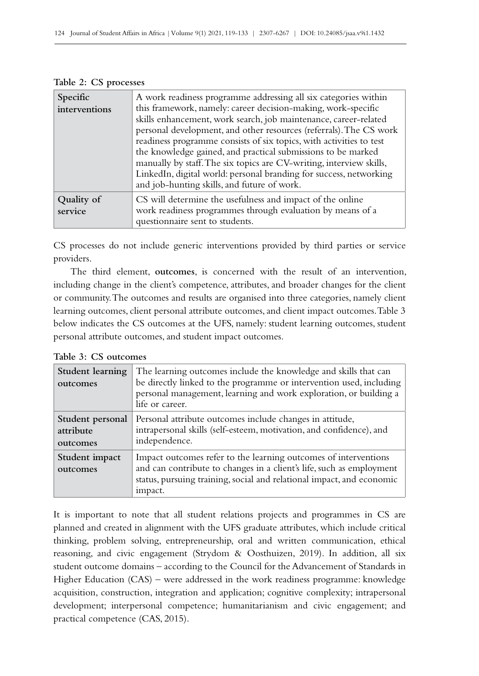| Specific<br>interventions | A work readiness programme addressing all six categories within<br>this framework, namely: career decision-making, work-specific<br>skills enhancement, work search, job maintenance, career-related<br>personal development, and other resources (referrals). The CS work<br>readiness programme consists of six topics, with activities to test<br>the knowledge gained, and practical submissions to be marked<br>manually by staff. The six topics are CV-writing, interview skills,<br>LinkedIn, digital world: personal branding for success, networking<br>and job-hunting skills, and future of work. |
|---------------------------|---------------------------------------------------------------------------------------------------------------------------------------------------------------------------------------------------------------------------------------------------------------------------------------------------------------------------------------------------------------------------------------------------------------------------------------------------------------------------------------------------------------------------------------------------------------------------------------------------------------|
| Quality of<br>service     | CS will determine the usefulness and impact of the online<br>work readiness programmes through evaluation by means of a<br>questionnaire sent to students.                                                                                                                                                                                                                                                                                                                                                                                                                                                    |

|  |  | Table 2: CS processes |
|--|--|-----------------------|
|--|--|-----------------------|

CS processes do not include generic interventions provided by third parties or service providers.

The third element, **outcomes**, is concerned with the result of an intervention, including change in the client's competence, attributes, and broader changes for the client or community. The outcomes and results are organised into three categories, namely client learning outcomes, client personal attribute outcomes, and client impact outcomes. Table 3 below indicates the CS outcomes at the UFS, namely: student learning outcomes, student personal attribute outcomes, and student impact outcomes.

| Table 3: CS outcomes                             |  |  |
|--------------------------------------------------|--|--|
| $\mathsf{Student}$ learning $\mathsf{The}$ learn |  |  |

| Student learning<br>outcomes              | The learning outcomes include the knowledge and skills that can<br>be directly linked to the programme or intervention used, including<br>personal management, learning and work exploration, or building a<br>life or career. |
|-------------------------------------------|--------------------------------------------------------------------------------------------------------------------------------------------------------------------------------------------------------------------------------|
| Student personal<br>attribute<br>outcomes | Personal attribute outcomes include changes in attitude,<br>intrapersonal skills (self-esteem, motivation, and confidence), and<br>independence.                                                                               |
| Student impact<br>outcomes                | Impact outcomes refer to the learning outcomes of interventions<br>and can contribute to changes in a client's life, such as employment<br>status, pursuing training, social and relational impact, and economic<br>impact.    |

It is important to note that all student relations projects and programmes in CS are planned and created in alignment with the UFS graduate attributes, which include critical thinking, problem solving, entrepreneurship, oral and written communication, ethical reasoning, and civic engagement (Strydom & Oosthuizen, 2019). In addition, all six student outcome domains – according to the Council for the Advancement of Standards in Higher Education (CAS) – were addressed in the work readiness programme: knowledge acquisition, construction, integration and application; cognitive complexity; intrapersonal development; interpersonal competence; humanitarianism and civic engagement; and practical competence (CAS, 2015).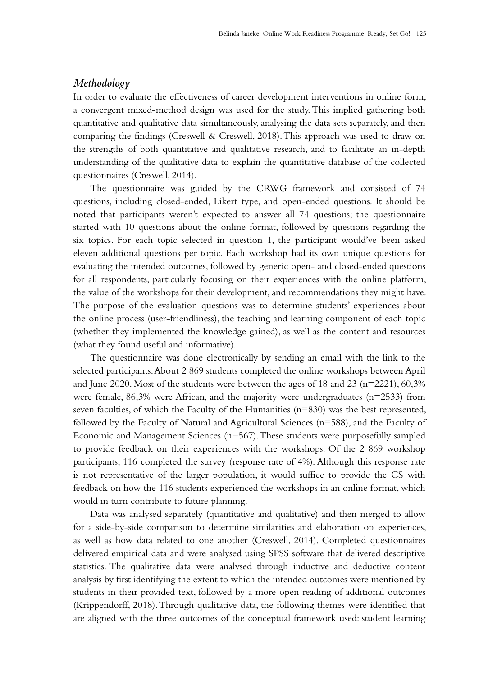## *Methodology*

In order to evaluate the effectiveness of career development interventions in online form, a convergent mixed-method design was used for the study. This implied gathering both quantitative and qualitative data simultaneously, analysing the data sets separately, and then comparing the findings (Creswell & Creswell, 2018). This approach was used to draw on the strengths of both quantitative and qualitative research, and to facilitate an in‑depth understanding of the qualitative data to explain the quantitative database of the collected questionnaires (Creswell, 2014).

The questionnaire was guided by the CRWG framework and consisted of 74 questions, including closed-ended, Likert type, and open-ended questions. It should be noted that participants weren't expected to answer all 74 questions; the questionnaire started with 10 questions about the online format, followed by questions regarding the six topics. For each topic selected in question 1, the participant would've been asked eleven additional questions per topic. Each workshop had its own unique questions for evaluating the intended outcomes, followed by generic open- and closed-ended questions for all respondents, particularly focusing on their experiences with the online platform, the value of the workshops for their development, and recommendations they might have. The purpose of the evaluation questions was to determine students' experiences about the online process (user-friendliness), the teaching and learning component of each topic (whether they implemented the knowledge gained), as well as the content and resources (what they found useful and informative).

The questionnaire was done electronically by sending an email with the link to the selected participants. About 2 869 students completed the online workshops between April and June 2020. Most of the students were between the ages of 18 and 23 ( $n=2221$ ), 60,3% were female, 86,3% were African, and the majority were undergraduates (n=2533) from seven faculties, of which the Faculty of the Humanities  $(n=830)$  was the best represented, followed by the Faculty of Natural and Agricultural Sciences (n=588), and the Faculty of Economic and Management Sciences (n=567). These students were purposefully sampled to provide feedback on their experiences with the workshops. Of the 2 869 workshop participants, 116 completed the survey (response rate of 4%). Although this response rate is not representative of the larger population, it would suffice to provide the CS with feedback on how the 116 students experienced the workshops in an online format, which would in turn contribute to future planning.

Data was analysed separately (quantitative and qualitative) and then merged to allow for a side-by-side comparison to determine similarities and elaboration on experiences, as well as how data related to one another (Creswell, 2014). Completed questionnaires delivered empirical data and were analysed using SPSS software that delivered descriptive statistics. The qualitative data were analysed through inductive and deductive content analysis by first identifying the extent to which the intended outcomes were mentioned by students in their provided text, followed by a more open reading of additional outcomes (Krippendorff, 2018). Through qualitative data, the following themes were identified that are aligned with the three outcomes of the conceptual framework used: student learning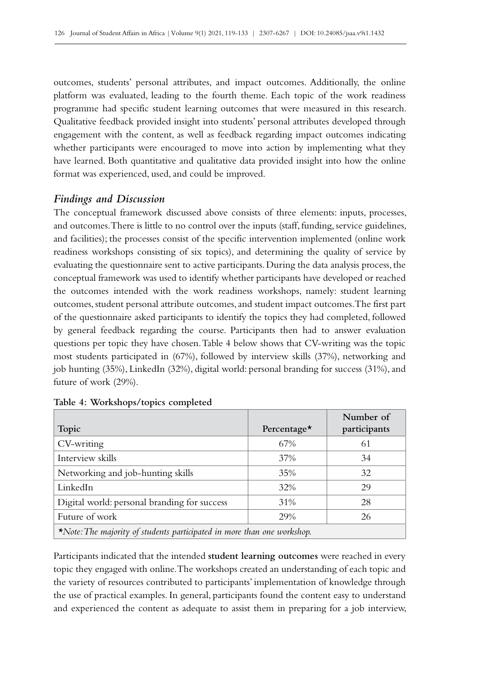outcomes, students' personal attributes, and impact outcomes. Additionally, the online platform was evaluated, leading to the fourth theme. Each topic of the work readiness programme had specific student learning outcomes that were measured in this research. Qualitative feedback provided insight into students' personal attributes developed through engagement with the content, as well as feedback regarding impact outcomes indicating whether participants were encouraged to move into action by implementing what they have learned. Both quantitative and qualitative data provided insight into how the online format was experienced, used, and could be improved.

## *Findings and Discussion*

The conceptual framework discussed above consists of three elements: inputs, processes, and outcomes. There is little to no control over the inputs (staff, funding, service guidelines, and facilities); the processes consist of the specific intervention implemented (online work readiness workshops consisting of six topics), and determining the quality of service by evaluating the questionnaire sent to active participants. During the data analysis process, the conceptual framework was used to identify whether participants have developed or reached the outcomes intended with the work readiness workshops, namely: student learning outcomes, student personal attribute outcomes, and student impact outcomes. The first part of the questionnaire asked participants to identify the topics they had completed, followed by general feedback regarding the course. Participants then had to answer evaluation questions per topic they have chosen. Table 4 below shows that CV‑writing was the topic most students participated in (67%), followed by interview skills (37%), networking and job hunting (35%), LinkedIn (32%), digital world: personal branding for success (31%), and future of work (29%).

|                                                                                |                    | Number of    |
|--------------------------------------------------------------------------------|--------------------|--------------|
| Topic                                                                          | Percentage $\star$ | participants |
| CV-writing                                                                     | 67%                | 61           |
| Interview skills                                                               | 37%                | 34           |
| Networking and job-hunting skills                                              | 35%                | 32           |
| LinkedIn                                                                       | 32%                | 29           |
| Digital world: personal branding for success                                   | 31%                | 28           |
| Future of work                                                                 | 29%                | 26           |
| $\star$ Note: The majority of students participated in more than one workshop. |                    |              |

| Table 4: Workshops/topics completed |  |  |
|-------------------------------------|--|--|
|-------------------------------------|--|--|

Participants indicated that the intended **student learning outcomes** were reached in every topic they engaged with online. The workshops created an understanding of each topic and the variety of resources contributed to participants' implementation of knowledge through the use of practical examples. In general, participants found the content easy to understand and experienced the content as adequate to assist them in preparing for a job interview,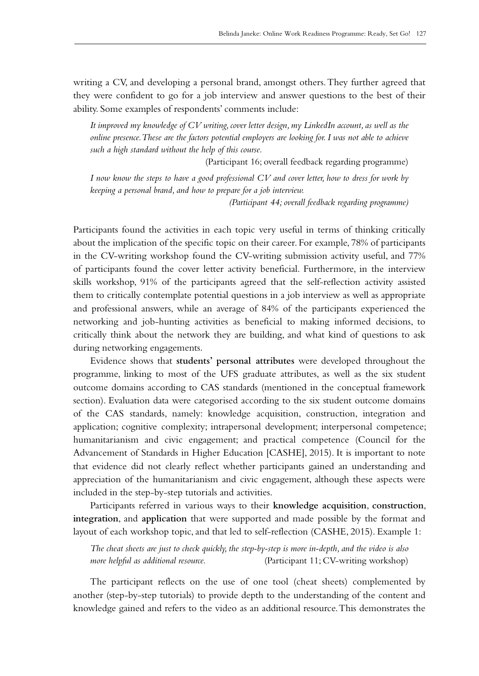writing a CV, and developing a personal brand, amongst others. They further agreed that they were confident to go for a job interview and answer questions to the best of their ability. Some examples of respondents' comments include:

*It improved my knowledge of CV writing, cover letter design, my LinkedIn account, as well as the online presence. These are the factors potential employers are looking for. I was not able to achieve such a high standard without the help of this course.* 

(Participant 16; overall feedback regarding programme)

*I now know the steps to have a good professional CV and cover letter, how to dress for work by keeping a personal brand, and how to prepare for a job interview.* 

*(Participant 44; overall feedback regarding programme)*

Participants found the activities in each topic very useful in terms of thinking critically about the implication of the specific topic on their career. For example, 78% of participants in the CV‑writing workshop found the CV‑writing submission activity useful, and 77% of participants found the cover letter activity beneficial. Furthermore, in the interview skills workshop, 91% of the participants agreed that the self-reflection activity assisted them to critically contemplate potential questions in a job interview as well as appropriate and professional answers, while an average of 84% of the participants experienced the networking and job-hunting activities as beneficial to making informed decisions, to critically think about the network they are building, and what kind of questions to ask during networking engagements.

Evidence shows that **students' personal attributes** were developed throughout the programme, linking to most of the UFS graduate attributes, as well as the six student outcome domains according to CAS standards (mentioned in the conceptual framework section). Evaluation data were categorised according to the six student outcome domains of the CAS standards, namely: knowledge acquisition, construction, integration and application; cognitive complexity; intrapersonal development; interpersonal competence; humanitarianism and civic engagement; and practical competence (Council for the Advancement of Standards in Higher Education [CASHE], 2015). It is important to note that evidence did not clearly reflect whether participants gained an understanding and appreciation of the humanitarianism and civic engagement, although these aspects were included in the step-by-step tutorials and activities.

Participants referred in various ways to their **knowledge acquisition**, **construction**, **integration**, and **application** that were supported and made possible by the format and layout of each workshop topic, and that led to self-reflection (CASHE, 2015). Example 1:

*The cheat sheets are just to check quickly, the step-by-step is more in‑depth, and the video is also more helpful as additional resource.* (Participant 11; CV–writing workshop)

The participant reflects on the use of one tool (cheat sheets) complemented by another (step-by-step tutorials) to provide depth to the understanding of the content and knowledge gained and refers to the video as an additional resource. This demonstrates the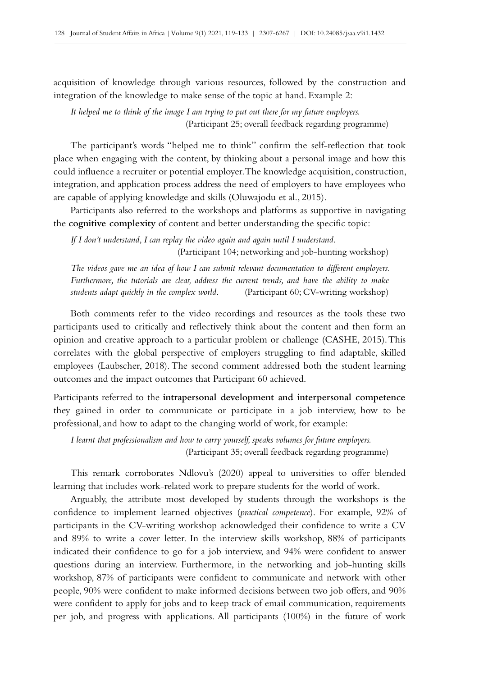acquisition of knowledge through various resources, followed by the construction and integration of the knowledge to make sense of the topic at hand. Example 2:

*It helped me to think of the image I am trying to put out there for my future employers.* (Participant 25; overall feedback regarding programme)

The participant's words "helped me to think" confirm the self-reflection that took place when engaging with the content, by thinking about a personal image and how this could influence a recruiter or potential employer. The knowledge acquisition, construction, integration, and application process address the need of employers to have employees who are capable of applying knowledge and skills (Oluwajodu et al., 2015).

Participants also referred to the workshops and platforms as supportive in navigating the **cognitive complexity** of content and better understanding the specific topic:

*If I don't understand, I can replay the video again and again until I understand.*  (Participant 104; networking and job-hunting workshop)

*The videos gave me an idea of how I can submit relevant documentation to different employers. Furthermore, the tutorials are clear, address the current trends, and have the ability to make students adapt quickly in the complex world.* (Participant 60; CV–writing workshop)

Both comments refer to the video recordings and resources as the tools these two participants used to critically and reflectively think about the content and then form an opinion and creative approach to a particular problem or challenge (CASHE, 2015). This correlates with the global perspective of employers struggling to find adaptable, skilled employees (Laubscher, 2018). The second comment addressed both the student learning outcomes and the impact outcomes that Participant 60 achieved.

Participants referred to the **intrapersonal development and interpersonal competence** they gained in order to communicate or participate in a job interview, how to be professional, and how to adapt to the changing world of work, for example:

*I learnt that professionalism and how to carry yourself, speaks volumes for future employers.* (Participant 35; overall feedback regarding programme)

This remark corroborates Ndlovu's (2020) appeal to universities to offer blended learning that includes work-related work to prepare students for the world of work.

Arguably, the attribute most developed by students through the workshops is the confidence to implement learned objectives (*practical competence*). For example, 92% of participants in the CV‑writing workshop acknowledged their confidence to write a CV and 89% to write a cover letter. In the interview skills workshop, 88% of participants indicated their confidence to go for a job interview, and 94% were confident to answer questions during an interview. Furthermore, in the networking and job-hunting skills workshop, 87% of participants were confident to communicate and network with other people, 90% were confident to make informed decisions between two job offers, and 90% were confident to apply for jobs and to keep track of email communication, requirements per job, and progress with applications. All participants (100%) in the future of work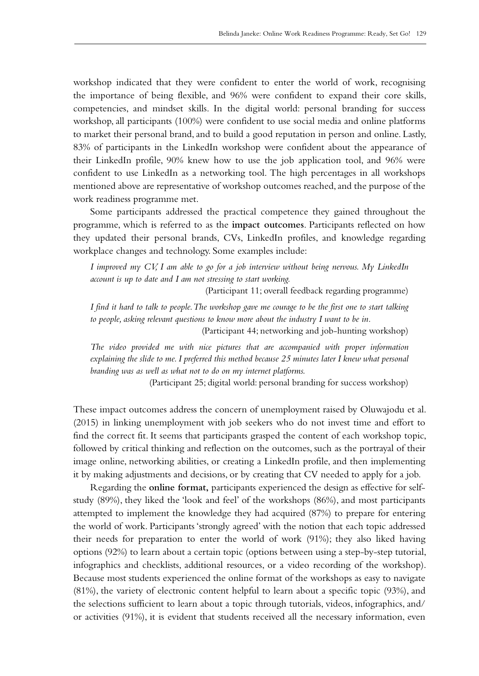workshop indicated that they were confident to enter the world of work, recognising the importance of being flexible, and 96% were confident to expand their core skills, competencies, and mindset skills. In the digital world: personal branding for success workshop, all participants (100%) were confident to use social media and online platforms to market their personal brand, and to build a good reputation in person and online. Lastly, 83% of participants in the LinkedIn workshop were confident about the appearance of their LinkedIn profile, 90% knew how to use the job application tool, and 96% were confident to use LinkedIn as a networking tool. The high percentages in all workshops mentioned above are representative of workshop outcomes reached, and the purpose of the work readiness programme met.

Some participants addressed the practical competence they gained throughout the programme, which is referred to as the **impact outcomes**. Participants reflected on how they updated their personal brands, CVs, LinkedIn profiles, and knowledge regarding workplace changes and technology. Some examples include:

*I improved my CV, I am able to go for a job interview without being nervous. My LinkedIn account is up to date and I am not stressing to start working.* 

(Participant 11; overall feedback regarding programme)

*I find it hard to talk to people. The workshop gave me courage to be the first one to start talking*  to people, asking relevant questions to know more about the industry I want to be in.

(Participant 44; networking and job-hunting workshop)

*The video provided me with nice pictures that are accompanied with proper information*  explaining the slide to me. I preferred this method because 25 minutes later I knew what personal *branding was as well as what not to do on my internet platforms.* 

(Participant 25; digital world: personal branding for success workshop)

These impact outcomes address the concern of unemployment raised by Oluwajodu et al. (2015) in linking unemployment with job seekers who do not invest time and effort to find the correct fit. It seems that participants grasped the content of each workshop topic, followed by critical thinking and reflection on the outcomes, such as the portrayal of their image online, networking abilities, or creating a LinkedIn profile, and then implementing it by making adjustments and decisions, or by creating that CV needed to apply for a job.

Regarding the **online format,** participants experienced the design as effective for selfstudy (89%), they liked the 'look and feel' of the workshops (86%), and most participants attempted to implement the knowledge they had acquired (87%) to prepare for entering the world of work. Participants 'strongly agreed' with the notion that each topic addressed their needs for preparation to enter the world of work (91%); they also liked having options (92%) to learn about a certain topic (options between using a step-by-step tutorial, infographics and checklists, additional resources, or a video recording of the workshop). Because most students experienced the online format of the workshops as easy to navigate (81%), the variety of electronic content helpful to learn about a specific topic (93%), and the selections sufficient to learn about a topic through tutorials, videos, infographics, and/ or activities (91%), it is evident that students received all the necessary information, even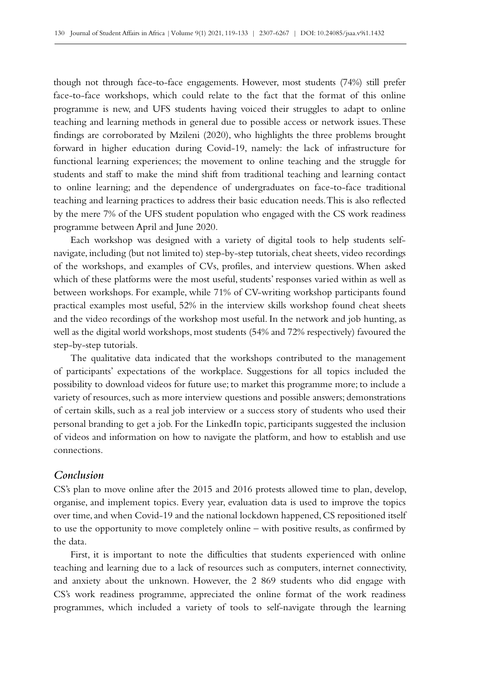though not through face-to-face engagements. However, most students (74%) still prefer face-to-face workshops, which could relate to the fact that the format of this online programme is new, and UFS students having voiced their struggles to adapt to online teaching and learning methods in general due to possible access or network issues. These findings are corroborated by Mzileni (2020), who highlights the three problems brought forward in higher education during Covid-19, namely: the lack of infrastructure for functional learning experiences; the movement to online teaching and the struggle for students and staff to make the mind shift from traditional teaching and learning contact to online learning; and the dependence of undergraduates on face-to-face traditional teaching and learning practices to address their basic education needs. This is also reflected by the mere 7% of the UFS student population who engaged with the CS work readiness programme between April and June 2020.

Each workshop was designed with a variety of digital tools to help students selfnavigate, including (but not limited to) step-by-step tutorials, cheat sheets, video recordings of the workshops, and examples of CVs, profiles, and interview questions. When asked which of these platforms were the most useful, students' responses varied within as well as between workshops. For example, while 71% of CV-writing workshop participants found practical examples most useful, 52% in the interview skills workshop found cheat sheets and the video recordings of the workshop most useful. In the network and job hunting, as well as the digital world workshops, most students (54% and 72% respectively) favoured the step-by-step tutorials.

The qualitative data indicated that the workshops contributed to the management of participants' expectations of the workplace. Suggestions for all topics included the possibility to download videos for future use; to market this programme more; to include a variety of resources, such as more interview questions and possible answers; demonstrations of certain skills, such as a real job interview or a success story of students who used their personal branding to get a job. For the LinkedIn topic, participants suggested the inclusion of videos and information on how to navigate the platform, and how to establish and use connections.

#### *Conclusion*

CS's plan to move online after the 2015 and 2016 protests allowed time to plan, develop, organise, and implement topics. Every year, evaluation data is used to improve the topics over time, and when Covid‑19 and the national lockdown happened, CS repositioned itself to use the opportunity to move completely online – with positive results, as confirmed by the data.

First, it is important to note the difficulties that students experienced with online teaching and learning due to a lack of resources such as computers, internet connectivity, and anxiety about the unknown. However, the 2 869 students who did engage with CS's work readiness programme, appreciated the online format of the work readiness programmes, which included a variety of tools to self-navigate through the learning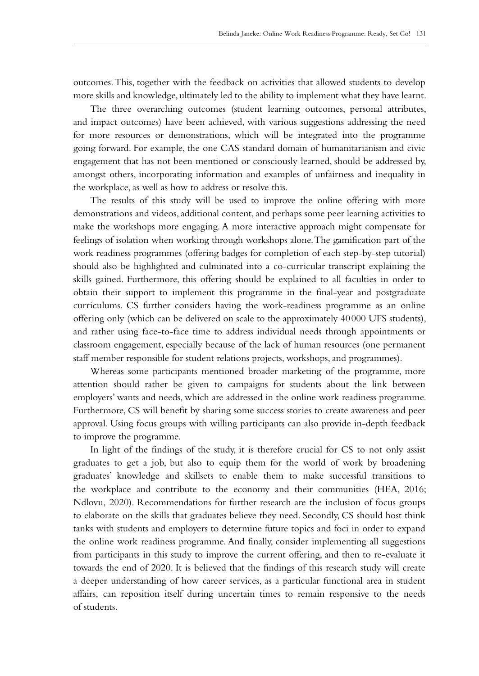outcomes. This, together with the feedback on activities that allowed students to develop more skills and knowledge, ultimately led to the ability to implement what they have learnt.

The three overarching outcomes (student learning outcomes, personal attributes, and impact outcomes) have been achieved, with various suggestions addressing the need for more resources or demonstrations, which will be integrated into the programme going forward. For example, the one CAS standard domain of humanitarianism and civic engagement that has not been mentioned or consciously learned, should be addressed by, amongst others, incorporating information and examples of unfairness and inequality in the workplace, as well as how to address or resolve this.

The results of this study will be used to improve the online offering with more demonstrations and videos, additional content, and perhaps some peer learning activities to make the workshops more engaging. A more interactive approach might compensate for feelings of isolation when working through workshops alone. The gamification part of the work readiness programmes (offering badges for completion of each step-by-step tutorial) should also be highlighted and culminated into a co‑curricular transcript explaining the skills gained. Furthermore, this offering should be explained to all faculties in order to obtain their support to implement this programme in the final-year and postgraduate curriculums. CS further considers having the work-readiness programme as an online offering only (which can be delivered on scale to the approximately 40000 UFS students), and rather using face-to-face time to address individual needs through appointments or classroom engagement, especially because of the lack of human resources (one permanent staff member responsible for student relations projects, workshops, and programmes).

Whereas some participants mentioned broader marketing of the programme, more attention should rather be given to campaigns for students about the link between employers' wants and needs, which are addressed in the online work readiness programme. Furthermore, CS will benefit by sharing some success stories to create awareness and peer approval. Using focus groups with willing participants can also provide in‑depth feedback to improve the programme.

In light of the findings of the study, it is therefore crucial for CS to not only assist graduates to get a job, but also to equip them for the world of work by broadening graduates' knowledge and skillsets to enable them to make successful transitions to the workplace and contribute to the economy and their communities (HEA, 2016; Ndlovu, 2020). Recommendations for further research are the inclusion of focus groups to elaborate on the skills that graduates believe they need. Secondly, CS should host think tanks with students and employers to determine future topics and foci in order to expand the online work readiness programme. And finally, consider implementing all suggestions from participants in this study to improve the current offering, and then to re‑evaluate it towards the end of 2020. It is believed that the findings of this research study will create a deeper understanding of how career services, as a particular functional area in student affairs, can reposition itself during uncertain times to remain responsive to the needs of students.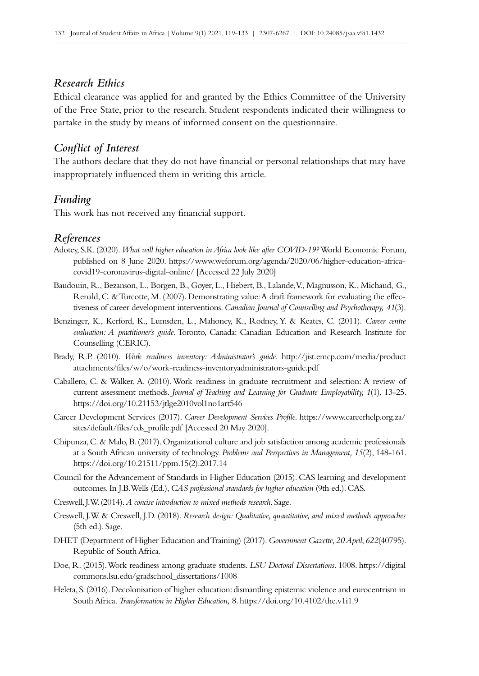## *Research Ethics*

Ethical clearance was applied for and granted by the Ethics Committee of the University of the Free State, prior to the research. Student respondents indicated their willingness to partake in the study by means of informed consent on the questionnaire.

## *Conflict of Interest*

The authors declare that they do not have financial or personal relationships that may have inappropriately influenced them in writing this article.

#### *Funding*

This work has not received any financial support.

#### *References*

- Adotey, S.K. (2020). *What will higher education in Africa look like after COVID-19?* World Economic Forum, published on 8 June 2020. [https://www.weforum.org/agenda/2020/06/higher-education-africa](https://www.weforum.org/agenda/2020/06/higher-education-africa-covid19-coronavirus-digital-online/)[covid19-coronavirus-digital-online/](https://www.weforum.org/agenda/2020/06/higher-education-africa-covid19-coronavirus-digital-online/) [Accessed 22 July 2020]
- Baudouin, R., Bezanson, L., Borgen, B., Goyer, L., Hiebert, B., Lalande, V., Magnusson, K., Michaud, G., Renald, C. & Turcotte, M. (2007). Demonstrating value: A draft framework for evaluating the effectiveness of career development interventions. *Canadian Journal of Counselling and Psychotherapy, 41*(3).
- Benzinger, K., Kerford, K., Lumsden, L., Mahoney, K., Rodney, Y. & Keates, C. (2011). *Career centre evaluation: A practitioner's guide*. Toronto, Canada: Canadian Education and Research Institute for Counselling (CERIC).
- Brady, R.P. (2010). *Work readiness inventory: Administrator's guide*. [http://jist.emcp.com/media/product](http://jist.emcp.com/media/productattachments/files/w/o/work-readiness-inventoryadministrators-guide) [attachments/files/w/o/work-readiness-inventoryadministrators-guide.pdf](http://jist.emcp.com/media/productattachments/files/w/o/work-readiness-inventoryadministrators-guide)
- Caballero, C. & Walker, A. (2010). Work readiness in graduate recruitment and selection: A review of current assessment methods. *Journal of Teaching and Learning for Graduate Employability, 1*(1), 13‑25. <https://doi.org/10.21153/jtlge2010vol1no1art546>
- Career Development Services (2017). *Career Development Services Profile*. [https://www.careerhelp.org.za/](https://www.careerhelp.org.za/sites/default/files/cds_profile.pdf) [sites/default/files/cds\\_profile.pdf](https://www.careerhelp.org.za/sites/default/files/cds_profile.pdf) [Accessed 20 May 2020].
- Chipunza, C. & Malo, B. (2017). Organizational culture and job satisfaction among academic professionals at a South African university of technology. *Problems and Perspectives in Management*, 15(2), 148-161. [https://doi.org/10.21511/ppm.15\(2\).2017.14](https://doi.org/10.21511/ppm.15(2).2017.14)
- Council for the Advancement of Standards in Higher Education (2015). CAS learning and development outcomes. In J.B. Wells (Ed.), *CAS professional standards for higher education* (9th ed.). CAS.
- Creswell, J.W. (2014). *A concise introduction to mixed methods research*. Sage.
- Creswell, J.W. & Creswell, J.D. (2018). *Research design: Qualitative, quantitative, and mixed methods approaches* (5th ed.). Sage.
- DHET (Department of Higher Education and Training) (2017). *Government Gazette, 20 April*, *622*(40795). Republic of South Africa.
- Doe, R. (2015). Work readiness among graduate students. *LSU Doctoral Dissertations*. 1008. [https://digital](https://digitalcommons.lsu.edu/gradschool_dissertations/1008) [commons.lsu.edu/gradschool\\_dissertations/1008](https://digitalcommons.lsu.edu/gradschool_dissertations/1008)
- Heleta, S. (2016). Decolonisation of higher education: dismantling epistemic violence and eurocentrism in South Africa. *Transformation in Higher Education,* 8.<https://doi.org/10.4102/the.v1i1.9>